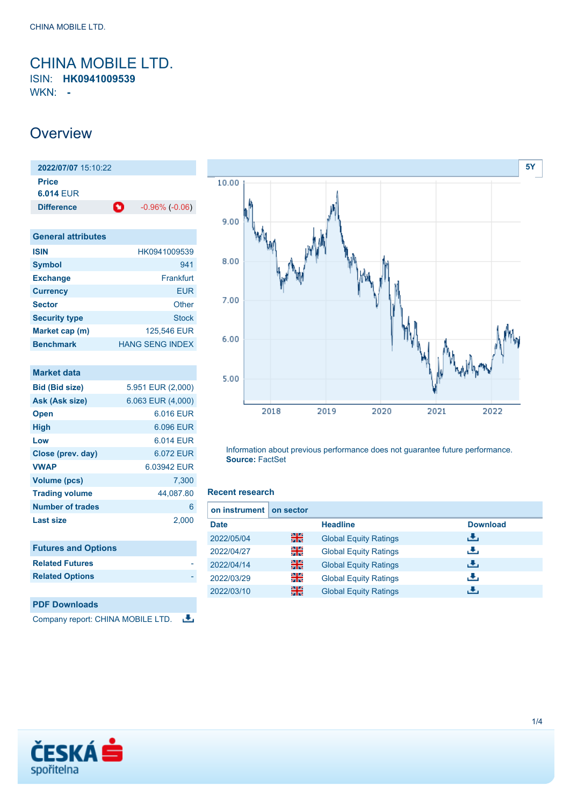### <span id="page-0-0"></span>CHINA MOBILE LTD. ISIN: **HK0941009539**

WKN: **-**

## **Overview**

**2022/07/07** 15:10:22 **Price 6.014** EUR **Difference 1**  $-0.96\%$  (-0.06)

| <b>General attributes</b> |                        |
|---------------------------|------------------------|
| <b>ISIN</b>               | HK0941009539           |
| <b>Symbol</b>             | 941                    |
| <b>Exchange</b>           | Frankfurt              |
| <b>Currency</b>           | EUR                    |
| <b>Sector</b>             | Other                  |
| <b>Security type</b>      | <b>Stock</b>           |
| Market cap (m)            | 125,546 EUR            |
| <b>Benchmark</b>          | <b>HANG SENG INDEX</b> |

| <b>Market data</b>         |                   |
|----------------------------|-------------------|
| <b>Bid (Bid size)</b>      | 5.951 EUR (2,000) |
| Ask (Ask size)             | 6.063 EUR (4,000) |
| <b>Open</b>                | 6.016 FUR         |
| <b>High</b>                | 6.096 EUR         |
| Low                        | 6.014 FUR         |
| Close (prev. day)          | 6.072 EUR         |
| <b>VWAP</b>                | 6.03942 EUR       |
| <b>Volume (pcs)</b>        | 7,300             |
| <b>Trading volume</b>      | 44,087.80         |
| Number of trades           | 6                 |
| <b>Last size</b>           | 2,000             |
|                            |                   |
| <b>Futures and Options</b> |                   |
| <b>Related Futures</b>     |                   |
| <b>Related Options</b>     |                   |
|                            |                   |
| <b>PDF Downloads</b>       |                   |





Information about previous performance does not guarantee future performance. **Source:** FactSet

#### **Recent research**

| on instrument | on sector |                              |                 |
|---------------|-----------|------------------------------|-----------------|
| <b>Date</b>   |           | <b>Headline</b>              | <b>Download</b> |
| 2022/05/04    | 꾉쭍        | <b>Global Equity Ratings</b> | æ,              |
| 2022/04/27    | 꾉뚢        | <b>Global Equity Ratings</b> | æ,              |
| 2022/04/14    | 꾊         | <b>Global Equity Ratings</b> | رنان            |
| 2022/03/29    | 을         | <b>Global Equity Ratings</b> | æ,              |
| 2022/03/10    | 噐         | <b>Global Equity Ratings</b> | d.              |

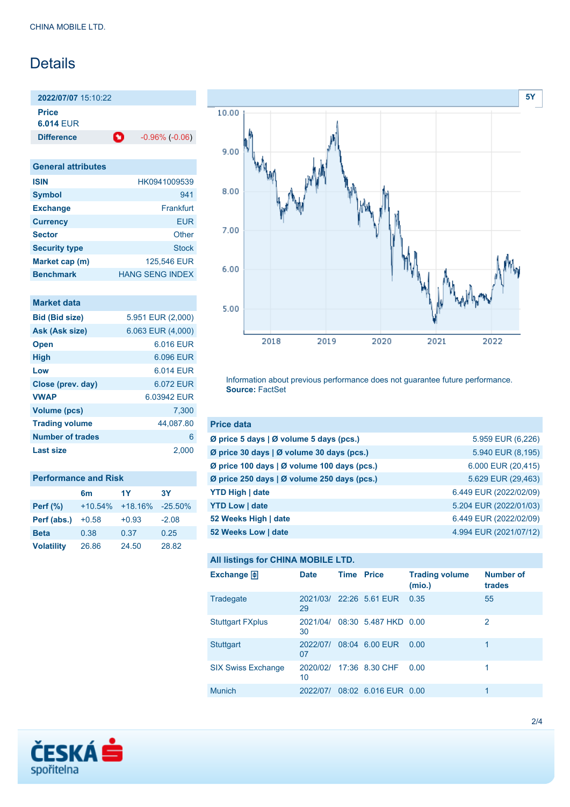# Details

**2022/07/07** 15:10:22 **Price 6.014** EUR

**Difference 1** -0.96% (-0.06)

| <b>General attributes</b> |                        |
|---------------------------|------------------------|
| <b>ISIN</b>               | HK0941009539           |
| <b>Symbol</b>             | 941                    |
| <b>Exchange</b>           | Frankfurt              |
| <b>Currency</b>           | EUR                    |
| <b>Sector</b>             | Other                  |
| <b>Security type</b>      | Stock                  |
| Market cap (m)            | 125,546 EUR            |
| <b>Benchmark</b>          | <b>HANG SENG INDEX</b> |

| Market data             |                   |
|-------------------------|-------------------|
| <b>Bid (Bid size)</b>   | 5.951 EUR (2,000) |
| Ask (Ask size)          | 6.063 EUR (4,000) |
| <b>Open</b>             | 6.016 EUR         |
| <b>High</b>             | 6.096 EUR         |
| Low                     | 6.014 FUR         |
| Close (prev. day)       | 6.072 FUR         |
| <b>VWAP</b>             | 6.03942 FUR       |
| <b>Volume (pcs)</b>     | 7.300             |
| <b>Trading volume</b>   | 44,087.80         |
| <b>Number of trades</b> | 6                 |
| Last size               | 2,000             |

| <b>Performance and Risk</b> |           |           |           |  |
|-----------------------------|-----------|-----------|-----------|--|
|                             | 6m        | 1Y        | 3Y        |  |
| <b>Perf</b> (%)             | $+10.54%$ | $+18.16%$ | $-25.50%$ |  |
| Perf (abs.)                 | $+0.58$   | $+0.93$   | $-2.08$   |  |
| <b>Beta</b>                 | 0.38      | 0.37      | 0.25      |  |
| <b>Volatility</b>           | 26.86     | 24.50     | 28.82     |  |



Information about previous performance does not guarantee future performance. **Source:** FactSet

| <b>Price data</b>                           |                        |
|---------------------------------------------|------------------------|
| Ø price 5 days   Ø volume 5 days (pcs.)     | 5.959 EUR (6,226)      |
| Ø price 30 days   Ø volume 30 days (pcs.)   | 5.940 EUR (8,195)      |
| Ø price 100 days   Ø volume 100 days (pcs.) | 6.000 EUR (20,415)     |
| Ø price 250 days   Ø volume 250 days (pcs.) | 5.629 EUR (29,463)     |
| <b>YTD High   date</b>                      | 6.449 EUR (2022/02/09) |
| <b>YTD Low   date</b>                       | 5.204 EUR (2022/01/03) |
| 52 Weeks High   date                        | 6.449 EUR (2022/02/09) |
| 52 Weeks Low   date                         | 4.994 EUR (2021/07/12) |

### **All listings for CHINA MOBILE LTD.**

| Exchange $\Box$           | <b>Date</b>    | <b>Time Price</b> |                         | <b>Trading volume</b><br>(mio.) | <b>Number of</b><br>trades |
|---------------------------|----------------|-------------------|-------------------------|---------------------------------|----------------------------|
| Tradegate                 | 29             |                   | 2021/03/ 22:26 5.61 EUR | 0.35                            | 55                         |
| <b>Stuttgart FXplus</b>   | 2021/04/<br>30 |                   | 08:30 5.487 HKD 0.00    |                                 | 2                          |
| <b>Stuttgart</b>          | 2022/07/<br>07 |                   | 08:04 6.00 EUR          | 0.00                            | 1                          |
| <b>SIX Swiss Exchange</b> | 10             |                   | 2020/02/ 17:36 8.30 CHF | 0.00                            | 1                          |
| <b>Munich</b>             | 2022/07/       |                   | 08:02 6.016 EUR 0.00    |                                 | 1                          |

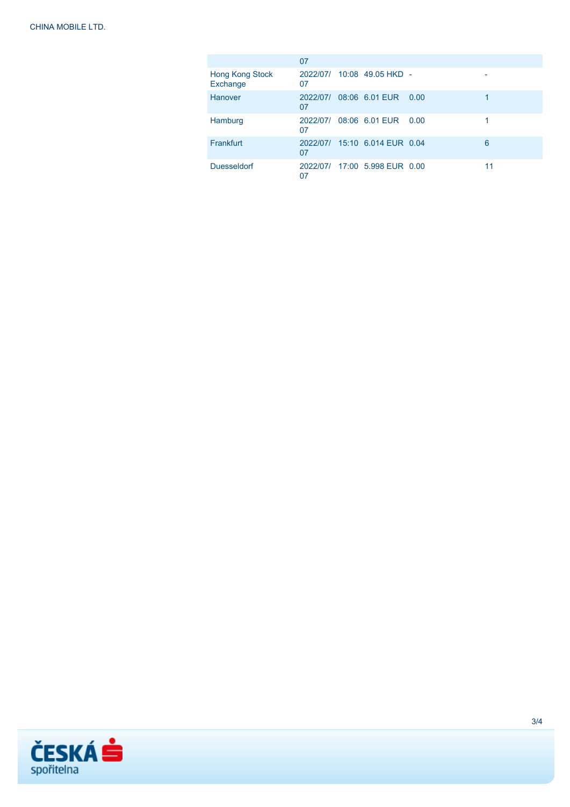|                             | 07 |                               |      |    |
|-----------------------------|----|-------------------------------|------|----|
| Hong Kong Stock<br>Exchange | 07 | 2022/07/ 10:08 49.05 HKD -    |      |    |
| Hanover                     | 07 | 2022/07/ 08:06 6.01 EUR       | 0.00 |    |
| Hamburg                     | 07 | 2022/07/ 08:06 6.01 EUR       | 0.00 |    |
| Frankfurt                   | 07 | 2022/07/ 15:10 6.014 EUR 0.04 |      | 6  |
| <b>Duesseldorf</b>          | 07 | 2022/07/ 17:00 5.998 EUR 0.00 |      | 11 |